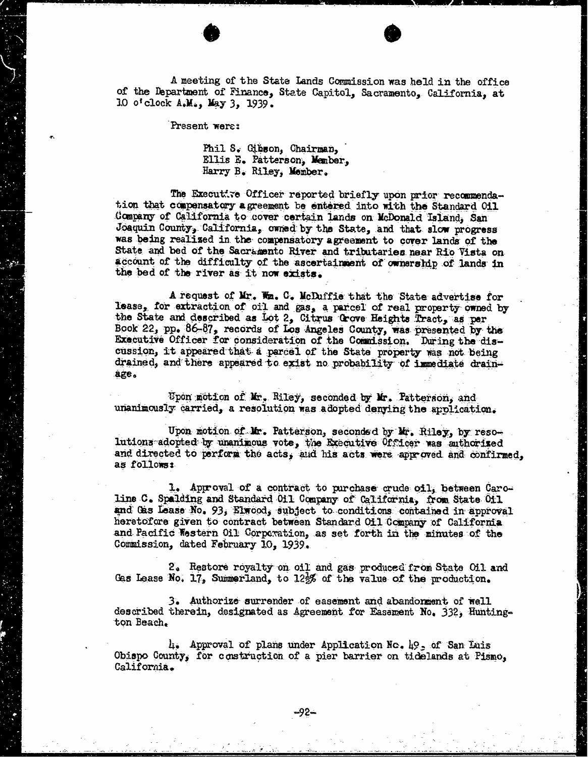A meeting of the State Lands Commission was held in the office of the Department of Finance, State Capitol, Sacramento, California, at 10 o'clock A.M., May 3, 1939.

Present were:

Phil S. Gibson, Chairman, Ellis E. Patterson, Member, Harry B. Riley, Member.

The Executive Officer reported briefly upon prior recommendation that compensatory agreement be entered into with the Standard Oil Company of California to cover certain lands on Mcdonald Island, San Joaquin County, California, owned by the State, and that slow progress was being realized in the compensatory agreement to cover lands of the State and bed of the Sacramento River and tributaries near Rio Vista on account of the difficulty of the ascertainment of ownership of lands in the bed of the river as it now exists.

A request of Mr. Wm. C. McDuffie that the State advertise for lease, for extraction of oil and gas, a parcel of real property owned by the State and described as Lot ?, Citrus Grove Heights Tract, as per Book 22, pp. 86-87, records of Los Angeles County, was presented by the Executive Officer for consideration of the Commission. During the discussion, it appeared that a parcel of the State property was not being drained, and there appeared to exist no probability of immediate drainage.

Upon motion of Mr. Riley, seconded by Mr. Patterson, and unanimously carried, a resolution was adopted denying the application.

Upon motion of Mr. Patterson, seconded by Mr. Riley, by reso- lutions adopted by unanimous vote, the Executive Officer was authorized and directed to perform the acts, alld his acts were approved and confirmed, as follows:

1. Approval of a contract to purchase crude oil, between Caro- line C. Spalding and Standard Oil Company of California, from State Oil and Gas Lease No. 93, Elwood, subject to conditions contained in approval heretofore given to contract between Standard Oil Company of California and Pacific Western Oil Corporation, as set forth in the minutes of the Commission, dated February 10, 1939.

2. Restore royalty on oil and gas produced from State Oil and Gas Lease No. 17, Summerland, to 123% of the value of the production.

3. Authorize surrender of easement and abandonment of well described therain, designated as Agreement for Easement No. 332, Huntington Beach.

4, Approval of plans under Application Nc. 49, of San Luis Obispo County, for construction of a pier barrier on tidelands at Pismo, California.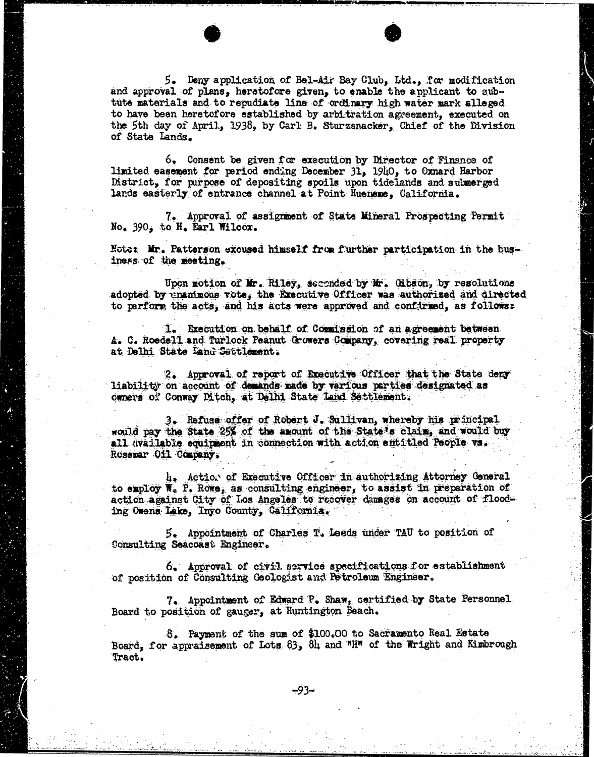5. Deny application of Bel-Air Bay Club, Ltd., for modification and approval of plans, heretofore given, to enable the applicant to subtute materials and to repudiate line of ordinary high water mark alleged to have been heretofore established by arbitration agreement, executed on the 5th day of April, 1938, by Carl B. Sturzsnacker, Chief of the Division of State Lands.

6. Consent be given for execution by Mrector of Finance of limited easement for period ending December 31, 1940, to Oxnard Harbor District, for purpose of depositing spoils upon tidelands and submerged lands easterly of entrance channel at Point Hueneme, California.

7. Approval of assignment of State Mineral Prospecting Permit No. 390, to H. Earl Wilcox.

Note: Mr. Patterson excused himself from further participation in the business of the meeting.

Upon motion of Mr. Riley, seconded by Mr. Gibson, by resolutions adopted by unanimous vote, the Executive Officer was authorized and directed to perform the acts, and his acts were approved and confirmed, as follows:

1. Execution on behalf of Commission of an agreement between A. C. Roedell and Turlock Peanut Growers Company, covering real property at Delhi State Land Settlement.

2. Approval of report of Executive Officer that the State dery liability on account of demands made by various parties designated as owners of Conway Ditch, at Delhi State Land Settlement.

3. Refuse offer of Robert J. Sullivan, whereby his principal would pay the State 25% of the amount of the State's claim, and would buy all available equipment in connection with action entitled People vs. Rosewar :011 Company.

4. Action of Executive Officer in authorizing Attorney General to employ W. P. Rowe, as consulting engineer, to assist in preparation of action against City of Los Angeles to recover damages on account of flooding Owens Lake, Inyo County, California.

5. Appointment of Charles T. Leeds under TAU to position of Consulting Seacoast Engineer.

6. Approval of civil service specifications for establishment of position of Consulting Geologist and Petroleum Engineer.

7. Appointment of Edward P. Shaw, certified by State Personnel Board to position of gauger, at Huntington Beach.

8. Payment of the sum of \$100.00 to Sacramento Real Estate Board, for appraisement of Lots 83, 84 and "H" of the Wright and Kimbrough Tract.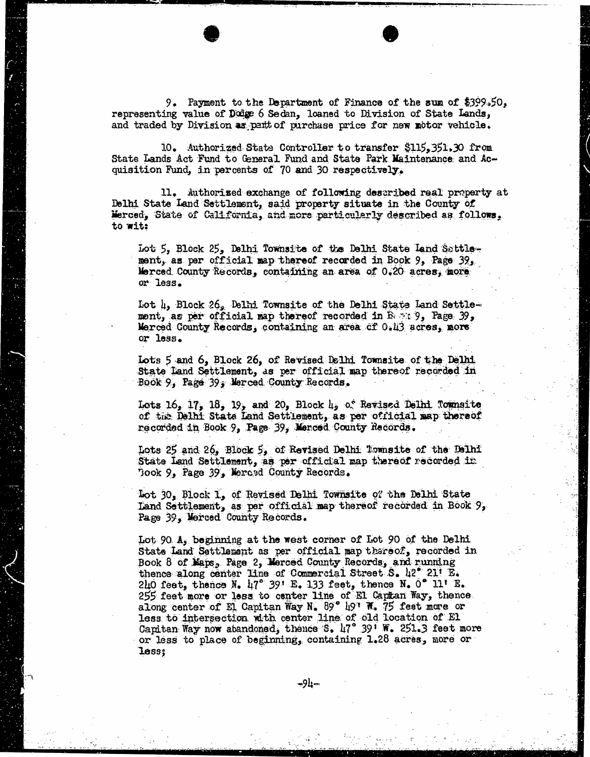9. Payment to the Department of Finance of the sum of \$399.50, representing value of Dodge 6 Sedan, loaned to Division of State Lands, and traded by Division as part of purchase price for new motor vehicle.

10. Authorized State Controller to transfer \$115, 351,30 from State Lands Act Fund to General Fund and State Park Maintenance and Acquisition Fund, in percents of 70 and 30 respectively.

11. Authorized exchange of following described real property at Delhi State Land Settlement, said property situate in the County of Merced, State of California, and more particularly described as follows, to wit:

Lot 5, Block 25, Delhi Townsite of the Delhi State Land Settlement, as per official map thereof recorded in Book 9, Page 39, Merced County Records, containing an area of 0.20 acres, more or less.

Lot 4, Block 26, Delhi Townsite of the Delhi State Land Settlement, as per official map thereof recorded in Box: 9, Page 39, Merced County Records, containing an area of 0.43 acres, more or less.

Lots 5 and 6, Block 26, of Revised Delhi Townsite of the Delhi State Land Settlement, as per official map thereof recorded in Book 9, Page 39, Merced County Records.

Lots  $16, 17, 18, 19$ , and  $20$ , Block  $4, 0$ , Revised Delhi Townsite of the Delhi State Land Settlement, as per official map thereof recorded in Book 9, Page- 39, Merced County Records.

Lots 25 and 26, Block 5, of Revised Delhi Tomsite of the Delhi State Land Settlement, as per official map thereof recorded in. Took 9, Page 39, Merced County Records.

Lot 30, Block 1, of Revised Delhi Townsite of the Delhi State Land Settlement, as per official map thereof recorded in Book 9, Page 39, Merced County Records.

Lot 90 A, beginning at the west corner of Lot 90 of the Delhi State Land Settlement as per official map thereof, recorded in Book 8 of Maps, Page 2, Merced County Records, and running thence along center line of Commercial Street S. 42" 21! E. 240 feet, thence N.  $17^\circ$  39' E. 133 feet, thence N. 0" 11' E. 255 feet more or less to center line of El Capitan Way, thence along center of El Capitan Way N. 89° 19' W. 75 feet more or less to intersection with center line of old location of El Capitan Way now abandoned, thence S. 47° 39' W. 251.3 feet more or less to place of beginning, containing 1.28 acres, more or less;

-94-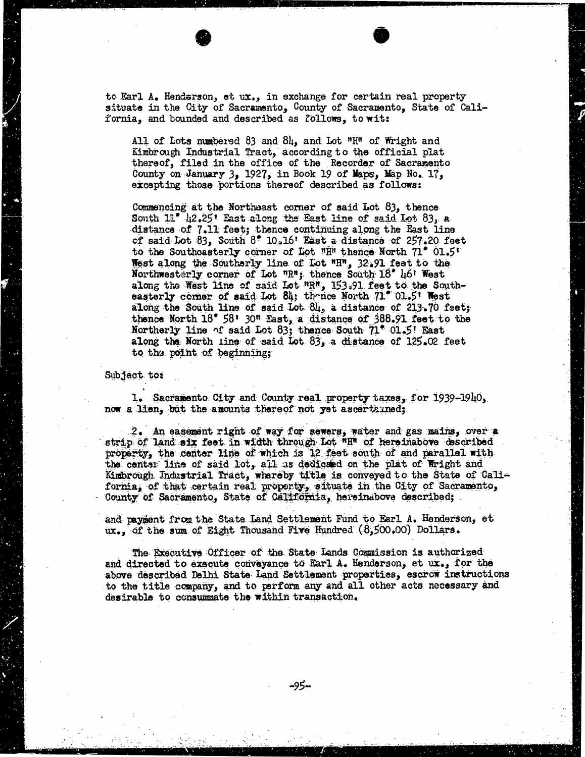to Earl A. Henderson, et ux., in exchange for certain real property situate in the City of Sacramento, County of Sacramento, State of California, and bounded and described as follows, to wit:

All of Lots numbered 83 and 84, and Lot  $"H"$  of Wright and Kimbrough Industrial Tract, according to the official plat thereof, filed in the office of the Recorder of Sacramento County on January 3, 1927, in Book 19 of Maps, Map No. 17, excepting those portions thereof described as follows:

Commencing at the Northeast corner of said Lot 83, thence South  $13''$  42.25! East along the East line of said Lot 83, a distance of 7.11 feet; thence continuing along the East line of said Lot 83, South  $8^{\circ}$  10.16' East a distance of 257.20 feet to the Southoasterly corner of Lot  $H^H$  thence North  $71^{\circ}$  01.5" West along the Southerly line of Lot "H", 32.91 feat to the Northwesterly corner of Lot "R"; thence South 18' 46' West along the West line of said Lot "RM, 153.91 feet to the Southeasterly corner of said Lot 84; therice North 71° 01.5! West along the South line of said Lot 84, a distance of 213.70 feet; thence North  $18^{\circ}$  58<sup>t</sup> 30<sup>n</sup> East, a distance of 388.91 feet to the Northerly line of said Lot 83; thence South 71° 01.5! East along the North line of said Lot 83, a distance of 125.02 feet to the point of beginning;

Subject to:

1. Sacramento City and County real property taxes, for 1939-1940, now a lien, but the amounts thereof not yet ascertained;

2. An easement right of way for sewers, water and gas mains, over a strip of land six feet in width through Lot "H" of hereinabove described property, the center line of which is 12 feet south of and parallel with the center line of said lot, all as dedicated on the plat of Wright and Kimbrough Industrial Tract, whereby title is conveyed to the State of Callfornia, of that certain real property, situate in the City of Sacramento, County of Sacramento, State of California, hereinabove described;

and payment from the State Land Settlement Fund to Earl A. Henderson, et ux., of the sum of Eight Thousand Five Hundred [\(8,500.00\)](https://8,500.00) Dollars.

The Executive Officer of the State Lands Commission is authorized and directed to execute conveyance to Earl A. Henderson, at ux., for the above described Delhi State Land Settlement properties, escrow instructions to the title company, and to perform any and all other acts necessary and desirable to consummate the within transaction.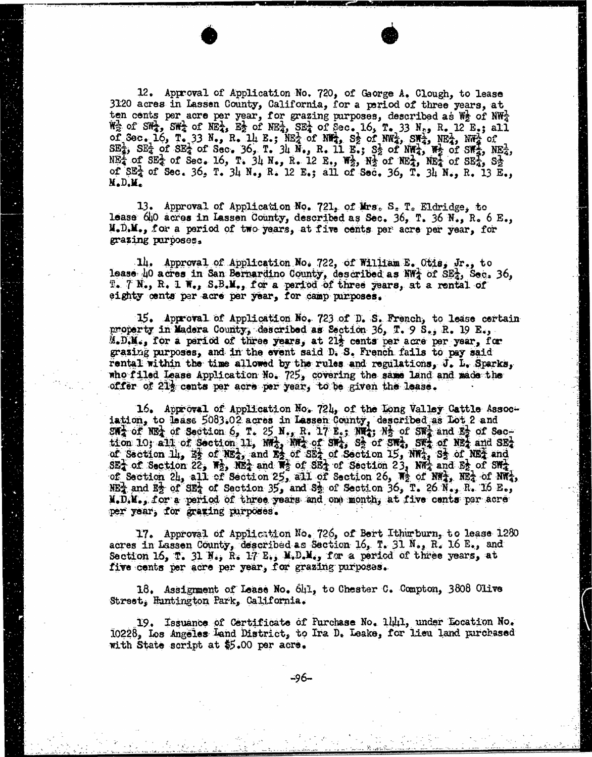12. Approval of Application No. 720, of Gaorge A. Clough, to lease 3120 acres in Lassen County, California, for a period of three years, at ten cents per acre per year, for grazing purposes, described as We of NW. We of  $SW_4$ ,  $SW_4$  of  $WE_4$ ,  $E_2$  of  $WE_4$ ,  $SE_4$  of Sec. 16,  $T_4$ , 33  $N_{2,3}$  R. 12  $E_2$ ; all of Sec. 16, T. 33 N., R. 14 E.;  $NE_4^1$  of Nit,  $S_2^1$  of NW<sub>4</sub>,  $SN_4^1$ ,  $NE_4^1$ ,  $NE_4^1$ , of  $SE_4$ ,  $SE_4$  of  $SE_4$  of Sec. 36, T. 34 N., R. 11 E.;  $S_2$  of  $N\overline{W}_4$ ,  $W_2$  of  $SK_4$ ,  $NE_3^1$ ,  $N_{\rm eq}^{\rm H}$  of SE<sub>4</sub> of Sec. 16, T. 34 N., R. 12 E., W<sub>3</sub>, N<sub>2</sub> of NE<sub>4</sub>, NE<sub>4</sub> of SE<sub>4</sub>, S<sub>2</sub> of  $SE^2_4$  of Sec. 36, T. 34 N., R. 12 E.; all of Sec. 36, T. 34 N., R. 13 E., M.D.M.

13. Approval of Application No. 721, of Mrs. S. T. Eldridge, to lease 640 acres in Lassen County, described as Sec. 36, T. 36 N., R. 6 E., M.D.M., for a period of two years, at five cents per acre per year, for grazing purposes,

14. Approval of Application No. 722, of William E. Otis, Jr., to lease 40 acres in San Bernardino County, described as KW of SEX, Sec. 36,  $\mathbb{R}$ .  $T$   $\mathbb{N}_0$ ,  $\mathbb{R}_+$  1  $\mathbb{W}_{\bullet}$ ,  $S$ .  $B$ .  $\mathbb{M}_{\bullet}$ , for a period of three years, at a rental of eighty cents per acre per year, for camp purposes.

15. Approval of Application No. 723 of D. S. French, to lease certain property in Madera County, described as Section 36, T. 9 S., R. 19 E., M.D.M., for a period of three years, at 212 cents per acre per year, for grazing purposes, and in the event said D. S. French fails to pay said rental within the time allowed by the rules and regulations, J. L. Sparks, who filed Lease Application No. 725, covering the same land and made the offer of 212 cents per acre per year, to be given the lease.

16. Approval of Application No. 724, of the Long Valley Cattle Assoc- iation, to lease 5083.02 acres in Lassen County, described as Lot 2 and  $SN<sub>2</sub>$  of NEX of Section 6, T. 25 N., R. 17 E.; NW.;  $N<sub>2</sub>$  of SW<sub>2</sub> and E<sub>2</sub> of Section 10; all of Section 11,  $\frac{11}{2}$ ,  $\frac{11}{2}$ ,  $\frac{11}{2}$ ,  $\frac{11}{2}$ ,  $\frac{11}{2}$ ,  $\frac{11}{2}$ ,  $\frac{11}{2}$ ,  $\frac{11}{2}$ ,  $\frac{11}{2}$ ,  $\frac{11}{2}$ ,  $\frac{11}{2}$ ,  $\frac{11}{2}$ ,  $\frac{11}{2}$ ,  $\frac{11}{2}$ ,  $\frac{11}{2}$ ,  $\frac{11}{2}$ , of Section 14, K2 of NET, and E2 of SET of Section 15, NW<sub>4</sub>, S2 of NET and  $\frac{1}{2}$  $SE_4$  of Section 22,  $W_2$ ,  $WE_4$  and  $W_2$  of  $SE_4$  of Section 23,  $W_4$  and  $E_2$  of SM $_4$ of Section 24, all of Section 25, all of Section 26,  $\mathbb{N}_{2}$  of  $\mathbb{N}_{3}$ ,  $\mathbb{N}_{4}$  of  $\mathbb{N}_{4}$ ,  $NE<sub>2</sub>$  and  $E<sub>2</sub>$  of  $SE<sub>4</sub>$  of Section 35, and  $S<sub>2</sub>$  of Section 36, T. 26. N., R. 16 E., M.D.M., for a period of three years and one month, at five cents per acre per year, for grazing purposes.

17. Approval of Application No. 726, of Bert Ithur burn, to lease 1280 acres in Lassen County, described as Section 16, T. 31 N., R. 16 E., and Section 16, T. 31  $N_{ij}$  R. 17 E., M.D.M., for a period of three years, at five cents per acre per year, for grazing purposes.

18. Assignment of Lease No. 641, to Chester C. Compton, 3808 Olive Street, Huntington Park, California.

19. Issuance of Certificate of Furchase No. 14/1, under Location No. 10228, Los Angeles Land District, to Ira D. Leake, for lieu land purchased with State script at \$5.00 per acre.